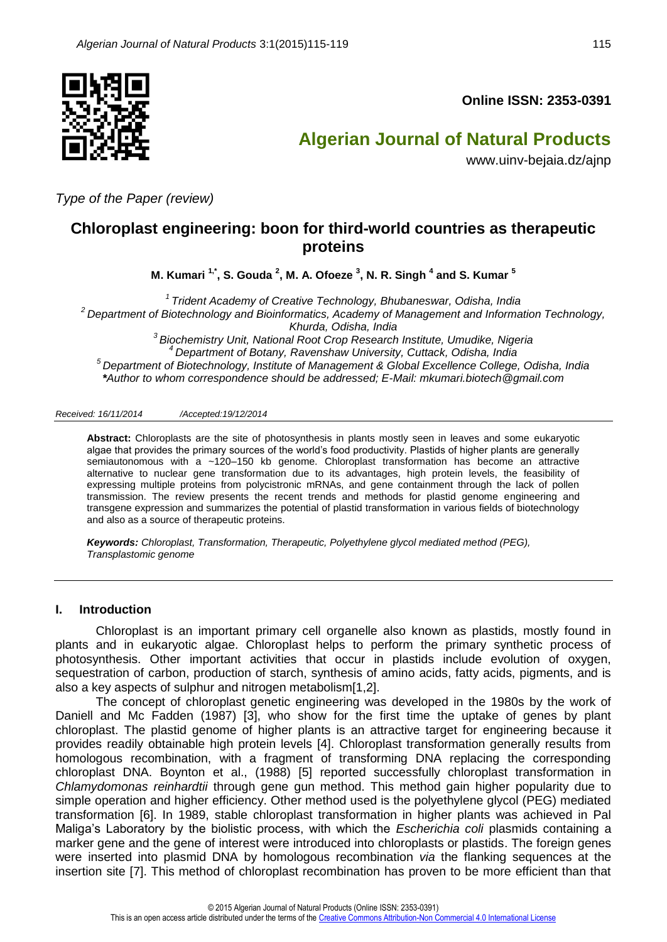

**Online ISSN: 2353-0391**

# **Algerian Journal of Natural Products**

www.uinv-bejaia.dz/ajnp

*Type of the Paper (review)*

## **Chloroplast engineering: boon for third-world countries as therapeutic proteins**

**M. Kumari 1,\* , S. Gouda <sup>2</sup> , M. A. Ofoeze <sup>3</sup> , N. R. Singh <sup>4</sup> and S. Kumar <sup>5</sup>**

 *Trident Academy of Creative Technology, Bhubaneswar, Odisha, India Department of Biotechnology and Bioinformatics, Academy of Management and Information Technology, Khurda, Odisha, India Biochemistry Unit, National Root Crop Research Institute, Umudike, Nigeria Department of Botany, Ravenshaw University, Cuttack, Odisha, India Department of Biotechnology, Institute of Management & Global Excellence College, Odisha, India \*Author to whom correspondence should be addressed; E-Mail: [mkumari.biotech@gmail.com](mailto:mkumari.biotech@gmail.com)*

#### *Received: 16/11/2014 /Accepted:19/12/2014*

**Abstract:** Chloroplasts are the site of photosynthesis in plants mostly seen in leaves and some eukaryotic algae that provides the primary sources of the world's food productivity. Plastids of higher plants are generally semiautonomous with a ~120-150 kb genome. Chloroplast transformation has become an attractive alternative to nuclear gene transformation due to its advantages, high protein levels, the feasibility of expressing multiple proteins from polycistronic mRNAs, and gene containment through the lack of pollen transmission. The review presents the recent trends and methods for plastid genome engineering and transgene expression and summarizes the potential of plastid transformation in various fields of biotechnology and also as a source of therapeutic proteins.

*Keywords: Chloroplast, Transformation, Therapeutic, Polyethylene glycol mediated method (PEG), Transplastomic genome*

#### **I. Introduction**

Chloroplast is an important primary cell organelle also known as plastids, mostly found in plants and in eukaryotic algae. Chloroplast helps to perform the primary synthetic process of photosynthesis. Other important activities that occur in plastids include evolution of oxygen, sequestration of carbon, production of starch, synthesis of amino acids, fatty acids, pigments, and is also a key aspects of sulphur and nitrogen metabolism[1,2].

The concept of chloroplast genetic engineering was developed in the 1980s by the work of Daniell and Mc Fadden (1987) [3], who show for the first time the uptake of genes by plant chloroplast. The plastid genome of higher plants is an attractive target for engineering because it provides readily obtainable high protein levels [4]. Chloroplast transformation generally results from homologous recombination, with a fragment of transforming DNA replacing the corresponding chloroplast DNA. Boynton et al., (1988) [5] reported successfully chloroplast transformation in *Chlamydomonas reinhardtii* through gene gun method. This method gain higher popularity due to simple operation and higher efficiency. Other method used is the polyethylene glycol (PEG) mediated transformation [6]. In 1989, stable chloroplast transformation in higher plants was achieved in Pal Maliga's Laboratory by the biolistic process, with which the *Escherichia coli* plasmids containing a marker gene and the gene of interest were introduced into chloroplasts or plastids. The foreign genes were inserted into plasmid DNA by homologous recombination *via* the flanking sequences at the insertion site [7]. This method of chloroplast recombination has proven to be more efficient than that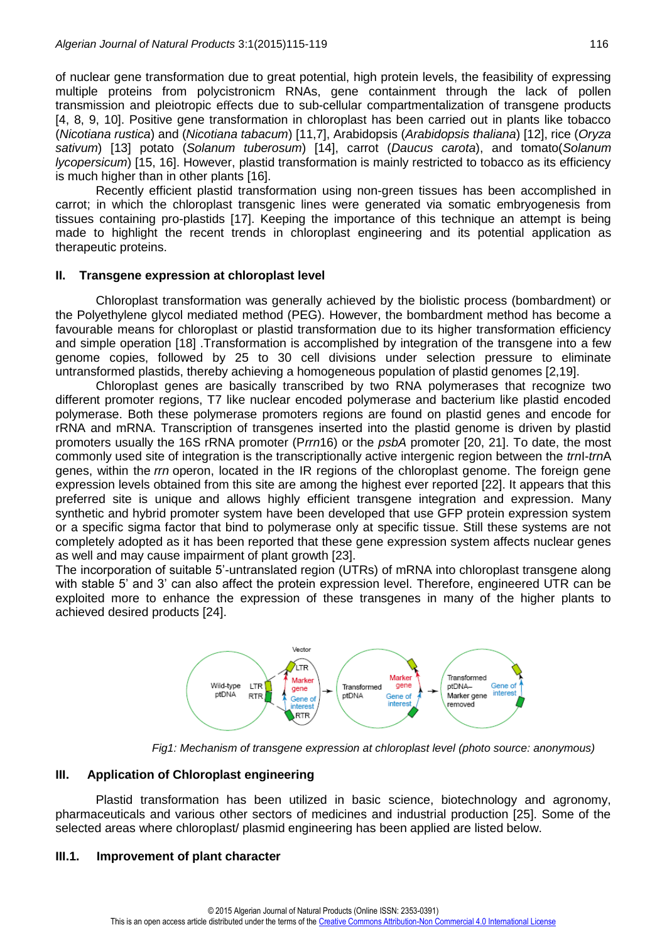of nuclear gene transformation due to great potential, high protein levels, the feasibility of expressing multiple proteins from polycistronicm RNAs, gene containment through the lack of pollen transmission and pleiotropic effects due to sub-cellular compartmentalization of transgene products [4, 8, 9, 10]. Positive gene transformation in chloroplast has been carried out in plants like tobacco (*Nicotiana rustica*) and (*Nicotiana tabacum*) [11,7], Arabidopsis (*Arabidopsis thaliana*) [12], rice (*Oryza sativum*) [13] potato (*Solanum tuberosum*) [14], carrot (*Daucus carota*), and tomato(*Solanum lycopersicum*) [15, 16]. However, plastid transformation is mainly restricted to tobacco as its efficiency is much higher than in other plants [16].

Recently efficient plastid transformation using non-green tissues has been accomplished in carrot; in which the chloroplast transgenic lines were generated via somatic embryogenesis from tissues containing pro-plastids [17]. Keeping the importance of this technique an attempt is being made to highlight the recent trends in chloroplast engineering and its potential application as therapeutic proteins.

## **II. Transgene expression at chloroplast level**

Chloroplast transformation was generally achieved by the biolistic process (bombardment) or the Polyethylene glycol mediated method (PEG). However, the bombardment method has become a favourable means for chloroplast or plastid transformation due to its higher transformation efficiency and simple operation [18] .Transformation is accomplished by integration of the transgene into a few genome copies, followed by 25 to 30 cell divisions under selection pressure to eliminate untransformed plastids, thereby achieving a homogeneous population of plastid genomes [2,19].

Chloroplast genes are basically transcribed by two RNA polymerases that recognize two different promoter regions, T7 like nuclear encoded polymerase and bacterium like plastid encoded polymerase. Both these polymerase promoters regions are found on plastid genes and encode for rRNA and mRNA. Transcription of transgenes inserted into the plastid genome is driven by plastid promoters usually the 16S rRNA promoter (P*rrn*16) or the *psbA* promoter [20, 21]. To date, the most commonly used site of integration is the transcriptionally active intergenic region between the *trn*I-*trn*A genes, within the *rrn* operon, located in the IR regions of the chloroplast genome. The foreign gene expression levels obtained from this site are among the highest ever reported [22]. It appears that this preferred site is unique and allows highly efficient transgene integration and expression. Many synthetic and hybrid promoter system have been developed that use GFP protein expression system or a specific sigma factor that bind to polymerase only at specific tissue. Still these systems are not completely adopted as it has been reported that these gene expression system affects nuclear genes as well and may cause impairment of plant growth [23].

The incorporation of suitable 5'-untranslated region (UTRs) of mRNA into chloroplast transgene along with stable 5' and 3' can also affect the protein expression level. Therefore, engineered UTR can be exploited more to enhance the expression of these transgenes in many of the higher plants to achieved desired products [24].



*Fig1: Mechanism of transgene expression at chloroplast level (photo source: anonymous)*

## **III. Application of Chloroplast engineering**

Plastid transformation has been utilized in basic science, biotechnology and agronomy, pharmaceuticals and various other sectors of medicines and industrial production [25]. Some of the selected areas where chloroplast/ plasmid engineering has been applied are listed below.

## **III.1. Improvement of plant character**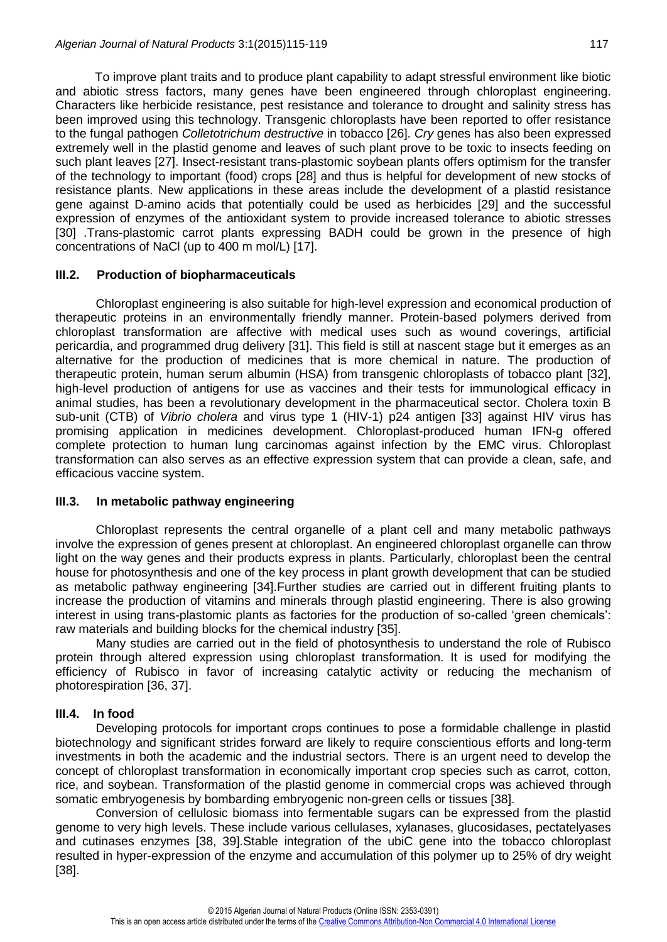To improve plant traits and to produce plant capability to adapt stressful environment like biotic and abiotic stress factors, many genes have been engineered through chloroplast engineering. Characters like herbicide resistance, pest resistance and tolerance to drought and salinity stress has been improved using this technology. Transgenic chloroplasts have been reported to offer resistance to the fungal pathogen *Colletotrichum destructive* in tobacco [26]. *Cry* genes has also been expressed extremely well in the plastid genome and leaves of such plant prove to be toxic to insects feeding on such plant leaves [27]. Insect-resistant trans-plastomic soybean plants offers optimism for the transfer of the technology to important (food) crops [28] and thus is helpful for development of new stocks of resistance plants. New applications in these areas include the development of a plastid resistance gene against D-amino acids that potentially could be used as herbicides [29] and the successful expression of enzymes of the antioxidant system to provide increased tolerance to abiotic stresses [30] .Trans-plastomic carrot plants expressing BADH could be grown in the presence of high concentrations of NaCl (up to 400 m mol/L) [17].

## **III.2. Production of biopharmaceuticals**

Chloroplast engineering is also suitable for high-level expression and economical production of therapeutic proteins in an environmentally friendly manner. Protein-based polymers derived from chloroplast transformation are affective with medical uses such as wound coverings, artificial pericardia, and programmed drug delivery [31]. This field is still at nascent stage but it emerges as an alternative for the production of medicines that is more chemical in nature. The production of therapeutic protein, human serum albumin (HSA) from transgenic chloroplasts of tobacco plant [32], high-level production of antigens for use as vaccines and their tests for immunological efficacy in animal studies, has been a revolutionary development in the pharmaceutical sector. Cholera toxin B sub-unit (CTB) of *Vibrio cholera* and virus type 1 (HIV-1) p24 antigen [33] against HIV virus has promising application in medicines development. Chloroplast-produced human IFN-g offered complete protection to human lung carcinomas against infection by the EMC virus. Chloroplast transformation can also serves as an effective expression system that can provide a clean, safe, and efficacious vaccine system.

#### **III.3. In metabolic pathway engineering**

Chloroplast represents the central organelle of a plant cell and many metabolic pathways involve the expression of genes present at chloroplast. An engineered chloroplast organelle can throw light on the way genes and their products express in plants. Particularly, chloroplast been the central house for photosynthesis and one of the key process in plant growth development that can be studied as metabolic pathway engineering [34].Further studies are carried out in different fruiting plants to increase the production of vitamins and minerals through plastid engineering. There is also growing interest in using trans-plastomic plants as factories for the production of so-called 'green chemicals': raw materials and building blocks for the chemical industry [35].

Many studies are carried out in the field of photosynthesis to understand the role of Rubisco protein through altered expression using chloroplast transformation. It is used for modifying the efficiency of Rubisco in favor of increasing catalytic activity or reducing the mechanism of photorespiration [36, 37].

## **III.4. In food**

Developing protocols for important crops continues to pose a formidable challenge in plastid biotechnology and significant strides forward are likely to require conscientious efforts and long-term investments in both the academic and the industrial sectors. There is an urgent need to develop the concept of chloroplast transformation in economically important crop species such as carrot, cotton, rice, and soybean. Transformation of the plastid genome in commercial crops was achieved through somatic embryogenesis by bombarding embryogenic non-green cells or tissues [38].

Conversion of cellulosic biomass into fermentable sugars can be expressed from the plastid genome to very high levels. These include various cellulases, xylanases, glucosidases, pectatelyases and cutinases enzymes [38, 39].Stable integration of the ubiC gene into the tobacco chloroplast resulted in hyper-expression of the enzyme and accumulation of this polymer up to 25% of dry weight [38].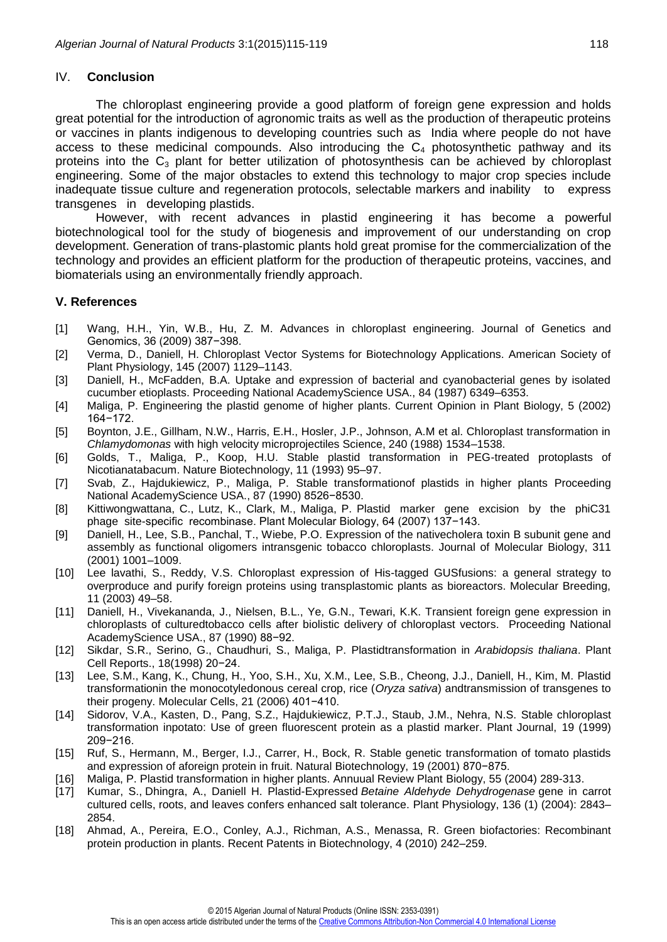#### IV. **Conclusion**

The chloroplast engineering provide a good platform of foreign gene expression and holds great potential for the introduction of agronomic traits as well as the production of therapeutic proteins or vaccines in plants indigenous to developing countries such as India where people do not have access to these medicinal compounds. Also introducing the  $C_4$  photosynthetic pathway and its proteins into the  $C_3$  plant for better utilization of photosynthesis can be achieved by chloroplast engineering. Some of the major obstacles to extend this technology to major crop species include inadequate tissue culture and regeneration protocols, selectable markers and inability to express transgenes in developing plastids.

However, with recent advances in plastid engineering it has become a powerful biotechnological tool for the study of biogenesis and improvement of our understanding on crop development. Generation of trans-plastomic plants hold great promise for the commercialization of the technology and provides an efficient platform for the production of therapeutic proteins, vaccines, and biomaterials using an environmentally friendly approach.

## **V. References**

- [1] Wang, H.H., Yin, W.B., Hu, Z. M. Advances in chloroplast engineering. Journal of Genetics and Genomics, 36 (2009) 387−398.
- [2] Verma, D., Daniell, H. Chloroplast Vector Systems for Biotechnology Applications. American Society of Plant Physiology, 145 (2007) 1129–1143.
- [3] Daniell, H., McFadden, B.A. Uptake and expression of bacterial and cyanobacterial genes by isolated cucumber etioplasts. Proceeding National AcademyScience USA., 84 (1987) 6349–6353.
- [4] Maliga, P. Engineering the plastid genome of higher plants. Current Opinion in Plant Biology, 5 (2002) 164−172.
- [5] Boynton, J.E., Gillham, N.W., Harris, E.H., Hosler, J.P., Johnson, A.M et al. Chloroplast transformation in *Chlamydomonas* with high velocity microprojectiles Science, 240 (1988) 1534–1538.
- [6] Golds, T., Maliga, P., Koop, H.U. Stable plastid transformation in PEG-treated protoplasts of Nicotianatabacum. Nature Biotechnology, 11 (1993) 95–97.
- [7] Svab, Z., Hajdukiewicz, P., Maliga, P. Stable transformationof plastids in higher plants Proceeding National AcademyScience USA., 87 (1990) 8526−8530.
- [8] Kittiwongwattana, C., Lutz, K., Clark, M., Maliga, P. Plastid marker gene excision by the phiC31 phage site-specific recombinase. Plant Molecular Biology, 64 (2007) 137−143.
- [9] Daniell, H., Lee, S.B., Panchal, T., Wiebe, P.O. Expression of the nativecholera toxin B subunit gene and assembly as functional oligomers intransgenic tobacco chloroplasts. Journal of Molecular Biology, 311 (2001) 1001–1009.
- [10] Lee lavathi, S., Reddy, V.S. Chloroplast expression of His-tagged GUSfusions: a general strategy to overproduce and purify foreign proteins using transplastomic plants as bioreactors. Molecular Breeding, 11 (2003) 49–58.
- [11] Daniell, H., Vivekananda, J., Nielsen, B.L., Ye, G.N., Tewari, K.K. Transient foreign gene expression in chloroplasts of culturedtobacco cells after biolistic delivery of chloroplast vectors. Proceeding National AcademyScience USA., 87 (1990) 88−92.
- [12] Sikdar, S.R., Serino, G., Chaudhuri, S., Maliga, P. Plastidtransformation in *Arabidopsis thaliana*. Plant Cell Reports., 18(1998) 20−24.
- [13] Lee, S.M., Kang, K., Chung, H., Yoo, S.H., Xu, X.M., Lee, S.B., Cheong, J.J., Daniell, H., Kim, M. Plastid transformationin the monocotyledonous cereal crop, rice (*Oryza sativa*) andtransmission of transgenes to their progeny. Molecular Cells, 21 (2006) 401−410.
- [14] Sidorov, V.A., Kasten, D., Pang, S.Z., Hajdukiewicz, P.T.J., Staub, J.M., Nehra, N.S. Stable chloroplast transformation inpotato: Use of green fluorescent protein as a plastid marker. Plant Journal, 19 (1999) 209−216.
- [15] Ruf, S., Hermann, M., Berger, I.J., Carrer, H., Bock, R. Stable genetic transformation of tomato plastids and expression of aforeign protein in fruit. Natural Biotechnology, 19 (2001) 870−875.
- [16] Maliga, P. Plastid transformation in higher plants. Annuual Review Plant Biology, 55 (2004) 289-313.
- [17] [Kumar,](http://www.ncbi.nlm.nih.gov/pubmed/?term=Kumar%20S%5Bauth%5D) S., [Dhingra,](http://www.ncbi.nlm.nih.gov/pubmed/?term=Dhingra%20A%5Bauth%5D) A., [Daniell](http://www.ncbi.nlm.nih.gov/pubmed/?term=Daniell%20H%5Bauth%5D) H. Plastid-Expressed *Betaine Aldehyde Dehydrogenase* gene in carrot cultured cells, roots, and leaves confers enhanced salt tolerance. Plant Physiology, 136 (1) (2004): 2843– 2854.
- [18] Ahmad, A., Pereira, E.O., Conley, A.J., Richman, A.S., Menassa, R. Green biofactories: Recombinant protein production in plants. Recent Patents in Biotechnology, 4 (2010) 242–259.